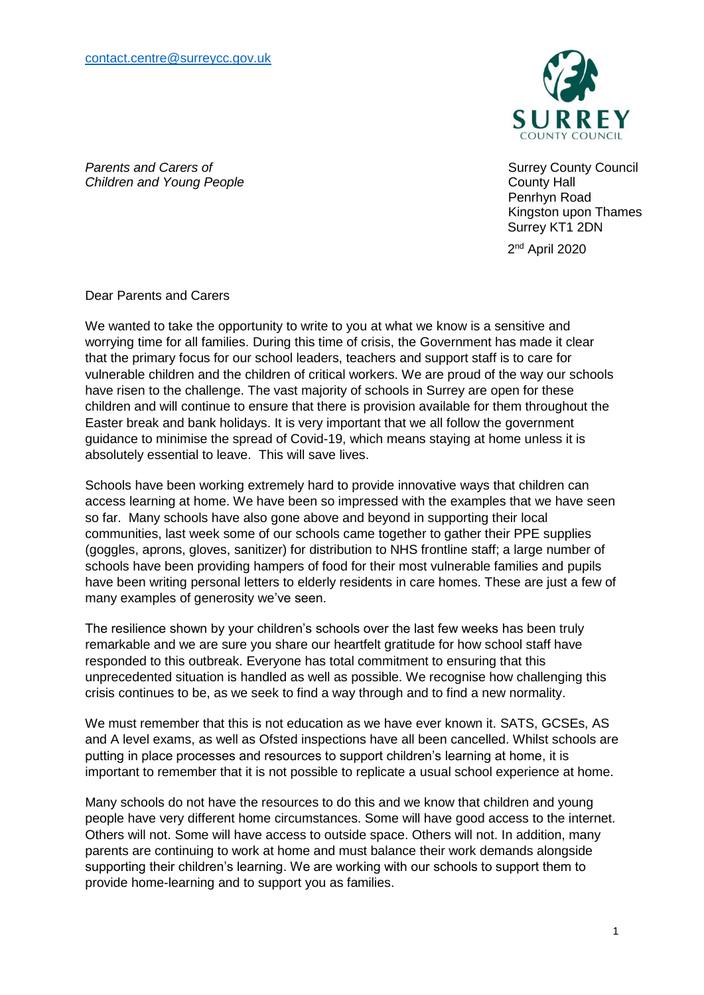

Surrey County Council County Hall Penrhyn Road Kingston upon Thames Surrey KT1 2DN

2<sup>nd</sup> April 2020

*Parents and Carers of Children and Young People*

Dear Parents and Carers

We wanted to take the opportunity to write to you at what we know is a sensitive and worrying time for all families. During this time of crisis, the Government has made it clear that the primary focus for our school leaders, teachers and support staff is to care for vulnerable children and the children of critical workers. We are proud of the way our schools have risen to the challenge. The vast majority of schools in Surrey are open for these children and will continue to ensure that there is provision available for them throughout the Easter break and bank holidays. It is very important that we all follow the government guidance to minimise the spread of Covid-19, which means staying at home unless it is absolutely essential to leave. This will save lives.

Schools have been working extremely hard to provide innovative ways that children can access learning at home. We have been so impressed with the examples that we have seen so far. Many schools have also gone above and beyond in supporting their local communities, last week some of our schools came together to gather their PPE supplies (goggles, aprons, gloves, sanitizer) for distribution to NHS frontline staff; a large number of schools have been providing hampers of food for their most vulnerable families and pupils have been writing personal letters to elderly residents in care homes. These are just a few of many examples of generosity we've seen.

The resilience shown by your children's schools over the last few weeks has been truly remarkable and we are sure you share our heartfelt gratitude for how school staff have responded to this outbreak. Everyone has total commitment to ensuring that this unprecedented situation is handled as well as possible. We recognise how challenging this crisis continues to be, as we seek to find a way through and to find a new normality.

We must remember that this is not education as we have ever known it. SATS, GCSEs, AS and A level exams, as well as Ofsted inspections have all been cancelled. Whilst schools are putting in place processes and resources to support children's learning at home, it is important to remember that it is not possible to replicate a usual school experience at home.

Many schools do not have the resources to do this and we know that children and young people have very different home circumstances. Some will have good access to the internet. Others will not. Some will have access to outside space. Others will not. In addition, many parents are continuing to work at home and must balance their work demands alongside supporting their children's learning. We are working with our schools to support them to provide home-learning and to support you as families.